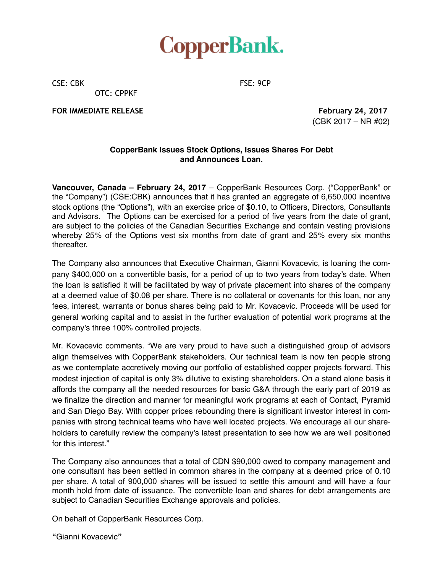

CSE: CBK FSE: 9CP

OTC: CPPKF

**FOR IMMEDIATE RELEASE February 24, 2017** 

(CBK 2017 – NR #02)

## **CopperBank Issues Stock Options, Issues Shares For Debt and Announces Loan.**

**Vancouver, Canada – February 24, 2017** – CopperBank Resources Corp. ("CopperBank" or the "Company") (CSE:CBK) announces that it has granted an aggregate of 6,650,000 incentive stock options (the "Options"), with an exercise price of \$0.10, to Officers, Directors, Consultants and Advisors. The Options can be exercised for a period of five years from the date of grant, are subject to the policies of the Canadian Securities Exchange and contain vesting provisions whereby 25% of the Options vest six months from date of grant and 25% every six months thereafter.

The Company also announces that Executive Chairman, Gianni Kovacevic, is loaning the company \$400,000 on a convertible basis, for a period of up to two years from today's date. When the loan is satisfied it will be facilitated by way of private placement into shares of the company at a deemed value of \$0.08 per share. There is no collateral or covenants for this loan, nor any fees, interest, warrants or bonus shares being paid to Mr. Kovacevic. Proceeds will be used for general working capital and to assist in the further evaluation of potential work programs at the company's three 100% controlled projects.

Mr. Kovacevic comments. "We are very proud to have such a distinguished group of advisors align themselves with CopperBank stakeholders. Our technical team is now ten people strong as we contemplate accretively moving our portfolio of established copper projects forward. This modest injection of capital is only 3% dilutive to existing shareholders. On a stand alone basis it affords the company all the needed resources for basic G&A through the early part of 2019 as we finalize the direction and manner for meaningful work programs at each of Contact, Pyramid and San Diego Bay. With copper prices rebounding there is significant investor interest in companies with strong technical teams who have well located projects. We encourage all our shareholders to carefully review the company's latest presentation to see how we are well positioned for this interest."

The Company also announces that a total of CDN \$90,000 owed to company management and one consultant has been settled in common shares in the company at a deemed price of 0.10 per share. A total of 900,000 shares will be issued to settle this amount and will have a four month hold from date of issuance. The convertible loan and shares for debt arrangements are subject to Canadian Securities Exchange approvals and policies.

On behalf of CopperBank Resources Corp.

"Gianni Kovacevic"